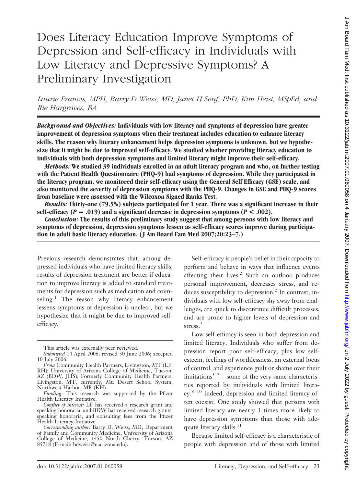# Does Literacy Education Improve Symptoms of Depression and Self-efficacy in Individuals with Low Literacy and Depressive Symptoms? A Preliminary Investigation

*Laurie Francis, MPH, Barry D Weiss, MD, Janet H Senf, PhD, Kim Heist, MSpEd, and Rie Hargraves, BA*

*Background and Objectives:* **Individuals with low literacy and symptoms of depression have greater improvement of depression symptoms when their treatment includes education to enhance literacy skills. The reason why literacy enhancement helps depression symptoms is unknown, but we hypothesize that it might be due to improved self-efficacy. We studied whether providing literacy education to individuals with both depression symptoms and limited literacy might improve their self-efficacy.**

*Methods:* **We studied 39 individuals enrolled in an adult literacy program and who, on further testing with the Patient Health Questionnaire (PHQ-9) had symptoms of depression. While they participated in the literacy program, we monitored their self-efficacy using the General Self Efficacy (GSE) scale, and also monitored the severity of depression symptoms with the PHQ-9. Changes in GSE and PHQ-9 scores from baseline were assessed with the Wilcoxon Signed Ranks Test.**

*Results:* **Thirty-one (79.5%) subjects participated for 1 year. There was a significant increase in their self-efficacy** ( $P = .019$ ) and a significant decrease in depression symptoms ( $P < .002$ ).

*Conclusion:* **The results of this preliminary study suggest that among persons with low literacy and symptoms of depression, depression symptoms lessen as self-efficacy scores improve during participation in adult basic literacy education. ( J Am Board Fam Med 2007;20:23–7.)**

Previous research demonstrates that, among depressed individuals who have limited literacy skills, results of depression treatment are better if education to improve literacy is added to standard treatments for depression such as medication and coun- $\text{seling}$ <sup>1</sup>. The reason why literacy enhancement lessens symptoms of depression is unclear, but we hypothesize that it might be due to improved selfefficacy.

Self-efficacy is people's belief in their capacity to perform and behave in ways that influence events affecting their lives.<sup>2</sup> Such an outlook produces personal improvement, decreases stress, and reduces susceptibility to depression.<sup>2</sup> In contrast, individuals with low self-efficacy shy away from challenges, are quick to discontinue difficult processes, and are prone to higher levels of depression and stress.<sup>2</sup>

Low self-efficacy is seen in both depression and limited literacy. Individuals who suffer from depression report poor self-efficacy, plus low selfesteem, feelings of worthlessness, an external locus of control, and experience guilt or shame over their limitations $3-7$  – some of the very same characteristics reported by individuals with limited literacy.8 –10 Indeed, depression and limited literacy often coexist. One study showed that persons with limited literacy are nearly 3 times more likely to have depression symptoms than those with adequate literacy skills.<sup>11</sup>

Because limited self-efficacy is a characteristic of people with depression and of those with limited

This article was externally peer reviewed.

*Submitted* 14 April 2006; revised 30 June 2006; accepted 10 July 2006.

*From* Community Health Partners, Livingston, MT (LF, RH); University of Arizona College of Medicine, Tucson, AZ (BDW, JHS); Formerly Community Health Partners, Livingston, MT; currently, Mt. Desert School System, Northwest Harbor, ME (KH).

*Funding:* This research was supported by the Pfizer Health Literacy Initiative.

*Conflict of interest:* LF has received a research grant and speaking honoraria, and BDW has received research grants, speaking honoraria, and consulting fees from the Pfizer Health Literacy Initiative.

*Corresponding author:* Barry D. Weiss, MD, Department of Family and Community Medicine, University of Arizona College of Medicine, 1450 North Cherry, Tucson, AZ 85718 (E-mail: bdweiss@u.arizona.edu).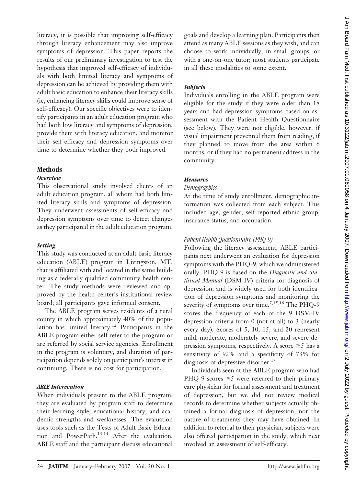literacy, it is possible that improving self-efficacy through literacy enhancement may also improve symptoms of depression. This paper reports the results of our preliminary investigation to test the hypothesis that improved self-efficacy of individuals with both limited literacy and symptoms of depression can be achieved by providing them with adult basic education to enhance their literacy skills (ie, enhancing literacy skills could improve sense of self-efficacy). Our specific objectives were to identify participants in an adult education program who had both low literacy and symptoms of depression, provide them with literacy education, and monitor their self-efficacy and depression symptoms over time to determine whether they both improved.

# **Methods**

# *Overview*

This observational study involved clients of an adult education program, all whom had both limited literacy skills and symptoms of depression. They underwent assessments of self-efficacy and depression symptoms over time to detect changes as they participated in the adult education program.

# *Setting*

This study was conducted at an adult basic literacy education (ABLE) program in Livingston, MT, that is affiliated with and located in the same building as a federally qualified community health center. The study methods were reviewed and approved by the health center's institutional review board; all participants gave informed consent.

The ABLE program serves residents of a rural county in which approximately 40% of the population has limited literacy.12 Participants in the ABLE program either self refer to the program or are referred by social service agencies. Enrollment in the program is voluntary, and duration of participation depends solely on participant's interest in continuing. There is no cost for participation.

# *ABLE Intervention*

When individuals present to the ABLE program, they are evaluated by program staff to determine their learning style, educational history, and academic strengths and weaknesses. The evaluation uses tools such as the Tests of Adult Basic Education and PowerPath.13,14 After the evaluation, ABLE staff and the participant discuss educational goals and develop a learning plan. Participants then attend as many ABLE sessions as they wish, and can choose to work individually, in small groups, or with a one-on-one tutor; most students participate in all these modalities to some extent.

# *Subjects*

Individuals enrolling in the ABLE program were eligible for the study if they were older than 18 years and had depression symptoms based on assessment with the Patient Health Questionnaire (see below). They were not eligible, however, if visual impairment prevented them from reading, if they planned to move from the area within 6 months, or if they had no permanent address in the community.

# *Measures*

#### *Demographics*

At the time of study enrollment, demographic information was collected from each subject. This included age, gender, self-reported ethnic group, insurance status, and occupation.

# *Patient Health Questionnaire (PHQ-9)*

Following the literacy assessment, ABLE participants next underwent an evaluation for depression symptoms with the PHQ-9, which we administered orally. PHQ-9 is based on the *Diagnostic and Statistical Manual* (DSM-IV) criteria for diagnosis of depression, and is widely used for both identification of depression symptoms and monitoring the severity of symptoms over time.<sup>7,15,16</sup> The PHQ-9 scores the frequency of each of the 9 DSM-IV depression criteria from 0 (not at all) to 3 (nearly every day). Scores of 5, 10, 15, and 20 represent mild, moderate, moderately severe, and severe depression symptoms, respectively. A score  $\geq 5$  has a sensitivity of 92% and a specificity of 73% for diagnosis of depressive disorder.<sup>17</sup>

Individuals seen at the ABLE program who had PHQ-9 scores  $\geq$ 5 were referred to their primary care physician for formal assessment and treatment of depression, but we did not review medical records to determine whether subjects actually obtained a formal diagnosis of depression, nor the nature of treatments they may have obtained. In addition to referral to their physician, subjects were also offered participation in the study, which next involved an assessment of self-efficacy.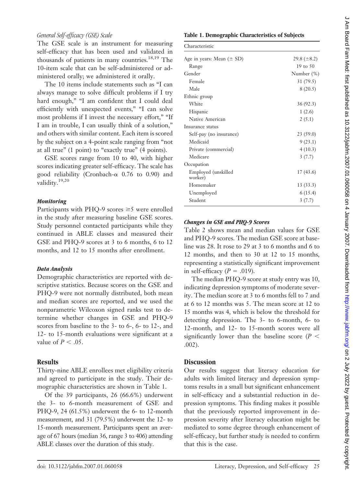# *General Self-efficacy (GSE) Scale*

The GSE scale is an instrument for measuring self-efficacy that has been used and validated in thousands of patients in many countries.18,19 The 10-item scale that can be self-administered or administered orally; we administered it orally.

The 10 items include statements such as "I can always manage to solve difficult problems if I try hard enough," "I am confident that I could deal efficiently with unexpected events," "I can solve most problems if I invest the necessary effort," "If I am in trouble, I can usually think of a solution," and others with similar content. Each item is scored by the subject on a 4-point scale ranging from "not at all true" (1 point) to "exactly true" (4 points).

GSE scores range from 10 to 40, with higher scores indicating greater self-efficacy. The scale has good reliability (Cronbach- $\alpha$  0.76 to 0.90) and validity.19,20

#### *Monitoring*

Participants with PHQ-9 scores  $\geq$ 5 were enrolled in the study after measuring baseline GSE scores. Study personnel contacted participants while they continued in ABLE classes and measured their GSE and PHQ-9 scores at 3 to 6 months, 6 to 12 months, and 12 to 15 months after enrollment.

#### *Data Analysis*

Demographic characteristics are reported with descriptive statistics. Because scores on the GSE and PHQ-9 were not normally distributed, both mean and median scores are reported, and we used the nonparametric Wilcoxon signed ranks test to determine whether changes in GSE and PHQ-9 scores from baseline to the 3- to 6-, 6- to 12-, and 12- to 15-month evaluations were significant at a value of  $P < .05$ .

#### **Results**

Thirty-nine ABLE enrollees met eligibility criteria and agreed to participate in the study. Their demographic characteristics are shown in Table 1.

Of the 39 participants, 26 (66.6%) underwent the 3- to 6-month measurement of GSE and PHQ-9, 24 (61.5%) underwent the 6- to 12-month measurement, and 31 (79.5%) underwent the 12- to 15-month measurement. Participants spent an average of 67 hours (median 36, range 3 to 406) attending ABLE classes over the duration of this study.

#### **Table 1. Demographic Characteristics of Subjects**

| Characteristic                 |                     |
|--------------------------------|---------------------|
| Age in years: Mean (± SD)      | $29.8 (\pm 8.2)$    |
| Range                          | $19 \text{ to } 50$ |
| Gender                         | Number (%)          |
| Female                         | 31 (79.5)           |
| Male                           | 8(20.5)             |
| Ethnic group                   |                     |
| White                          | 36 (92.3)           |
| Hispanic                       | 1(2.6)              |
| Native American                | 2(5.1)              |
| Insurance status               |                     |
| Self-pay (no insurance)        | 23 (59.0)           |
| Medicaid                       | 9(23.1)             |
| Private (commercial)           | 4(10.3)             |
| Medicare                       | 3(7.7)              |
| Occupation                     |                     |
| Employed (unskilled<br>worker) | 17 (43.6)           |
| Homemaker                      | 13(33.3)            |
| Unemployed                     | 6(15.4)             |
| Student                        | 3(7.7)              |
|                                |                     |

#### *Changes in GSE and PHQ-9 Scores*

Table 2 shows mean and median values for GSE and PHQ-9 scores. The median GSE score at baseline was 28. It rose to 29 at 3 to 6 months and 6 to 12 months, and then to 30 at 12 to 15 months, representing a statistically significant improvement in self-efficacy  $(P = .019)$ .

The median PHQ-9 score at study entry was 10, indicating depression symptoms of moderate severity. The median score at 3 to 6 months fell to 7 and at 6 to 12 months was 5. The mean score at 12 to 15 months was 4, which is below the threshold for detecting depression. The 3- to 6-month, 6- to 12-month, and 12- to 15-month scores were all significantly lower than the baseline score ( $P <$ .002).

#### **Discussion**

Our results suggest that literacy education for adults with limited literacy and depression symptoms results in a small but significant enhancement in self-efficacy and a substantial reduction in depression symptoms. This finding makes it possible that the previously reported improvement in depression severity after literacy education might be mediated to some degree through enhancement of self-efficacy, but further study is needed to confirm that this is the case.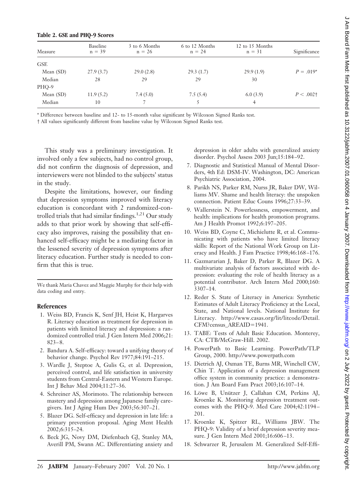# **Table 2. GSE and PHQ-9 Scores**

| Measure    | Baseline<br>$n = 39$ | 3 to 6 Months<br>$n = 26$ | 6 to 12 Months<br>$n = 24$ | 12 to 15 Months<br>$n = 31$ | Significance |  |
|------------|----------------------|---------------------------|----------------------------|-----------------------------|--------------|--|
| <b>GSE</b> |                      |                           |                            |                             |              |  |
| Mean (SD)  | 27.9(3.7)            | 29.0(2.8)                 | 29.3(1.7)                  | 29.9(1.9)                   | $P = .019*$  |  |
| Median     | 28                   | 29                        | 29                         | 30                          |              |  |
| PHQ-9      |                      |                           |                            |                             |              |  |
| Mean (SD)  | 11.9(5.2)            | 7.4(5.0)                  | 7.5(5.4)                   | 6.0(3.9)                    | $P < .002$ † |  |
| Median     | 10                   |                           | 5                          | 4                           |              |  |
|            |                      |                           |                            |                             |              |  |

\* Difference between baseline and 12- to 15-month value significant by Wilcoxon Signed Ranks test.

† All values significantly different from baseline value by Wilcoxon Signed Ranks test.

This study was a preliminary investigation. It involved only a few subjects, had no control group, did not confirm the diagnosis of depression, and interviewers were not blinded to the subjects' status in the study.

Despite the limitations, however, our finding that depression symptoms improved with literacy education is concordant with 2 randomized-controlled trials that had similar findings.<sup>1,21</sup> Our study adds to that prior work by showing that self-efficacy also improves, raising the possibility that enhanced self-efficacy might be a mediating factor in the lessened severity of depression symptoms after literacy education. Further study is needed to confirm that this is true.

We thank Maria Chavez and Maggie Murphy for their help with data coding and entry.

# **References**

- 1. Weiss BD, Francis K, Senf JH, Heist K, Hargarves R. Literacy education as treatment for depression in patients with limited literacy and depression: a randomized controlled trial. J Gen Intern Med 2006;21:  $823 - 8.$
- 2. Bandura A. Self-efficacy: toward a unifying theory of behavior change. Psychol Rev 1977;84:191–215.
- 3. Wardle J, Steptoe A, Gulis G, et al. Depression, perceived control, and life satisfaction in university students from Central-Eastern and Western Europe. Int J Behav Med 2004;11:27–36.
- 4. Schreiner AS, Morimoto. The relationship between mastery and depression among Japanese family caregivers. Int J Aging Hum Dev 2003;56:307–21.
- 5. Blazer DG. Self-efficacy and depression in late life: a primary prevention proposal. Aging Ment Health 2002;6:315–24.
- 6. Beck JG, Novy DM, Diefenbach GJ, Stanley MA, Averill PM, Swann AC. Differentiating anxiety and

depression in older adults with generalized anxiety disorder. Psychol Assess 2003 Jun;15:184 –92.

- 7. Diagnostic and Statistical Manual of Mental Disorders, 4th Ed: DSM-IV. Washington, DC: American Psychiatric Association, 2004.
- 8. Parikh NS, Parker RM, Nurss JR, Baker DW, Williams MV. Shame and health literacy: the unspoken connection. Patient Educ Couns 1996;27:33–39.
- 9. Wallerstein N. Powerlessness, empowerment, and health: implications for health promotion programs. Am J Health Promot 1992;6:197–205.
- 10. Weiss BD, Coyne C, Michielutte R, et al. Communicating with patients who have limited literacy skills: Report of the National Work Group on Literacy and Health. J Fam Practice 1998;46:168 –176.
- 11. Gazmararian J, Baker D, Parker R, Blazer DG. A multivariate analysis of factors associated with depression: evaluating the role of health literacy as a potential contributor. Arch Intern Med 2000;160: 3307–14.
- 12. Reder S. State of Literacy in America: Synthetic Estimates of Adult Literacy Proficiency at the Local, State, and National levels. National Institute for Literacy. http://www.casas.org/lit/litcode/Detail. CFM?census\_AREAID=1941.
- 13. TABE: Tests of Adult Basic Education. Monterey, CA: CTB/McGraw-Hill. 2002.
- 14. PowerPath to Basic Learning. PowerPath/TLP Group, 2000. http://www.powerpath.com
- 15. Dietrich AJ, Oxman TE, Burns MR, Winchell CW, Chin T. Application of a depression management office system in community practice: a demonstration. J Am Board Fam Pract 2003;16:107–14.
- 16. Löwe B, Unützer J, Callahan CM, Perkins AJ, Kroenke K. Monitoring depression treatment outcomes with the PHQ-9. Med Care 2004;42:1194 – 201.
- 17. Kroenke K, Spitzer RL, Williams JBW. The PHQ-9: Validity of a brief depression severity measure. J Gen Intern Med 2001;16:606 –13.
- 18. Schwarzer R, Jerusalem M. Generalized Self-Effi-